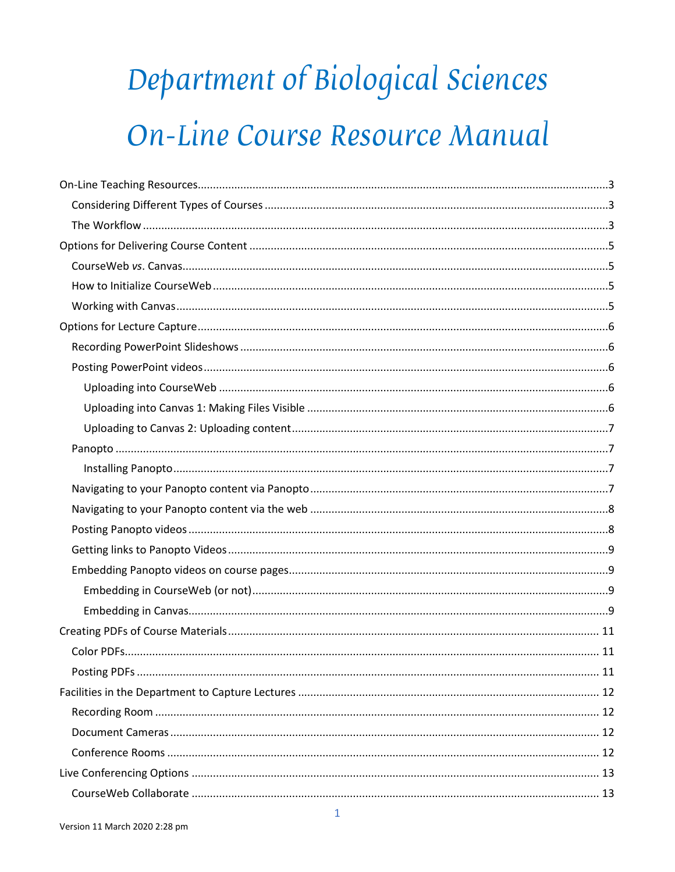# Department of Biological Sciences On-Line Course Resource Manual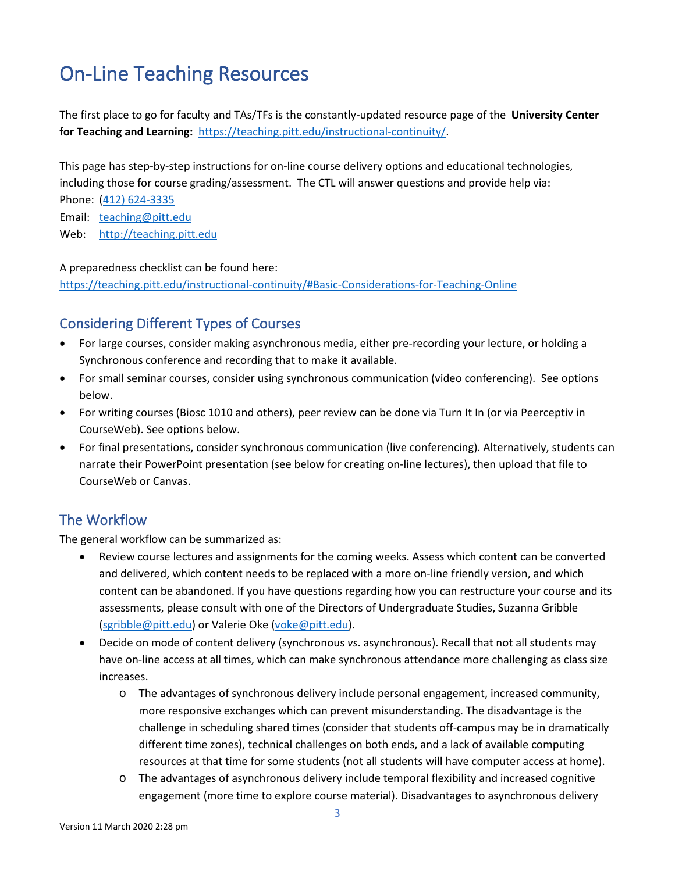# <span id="page-2-0"></span>On-Line Teaching Resources

The first place to go for faculty and TAs/TFs is the constantly-updated resource page of the **University Center for Teaching and Learning:** [https://teaching.pitt.edu/instructional-continuity/.](https://teaching.pitt.edu/instructional-continuity/)

This page has step-by-step instructions for on-line course delivery options and educational technologies, including those for course grading/assessment. The CTL will answer questions and provide help via:

Phone: [\(412\) 624-3335](tel:1-412-624-3335)

Email: [teaching@pitt.edu](mailto:teaching@pitt.edu)

Web: [http://teaching.pitt.edu](http://teaching.pitt.edu/)

A preparedness checklist can be found here:

<https://teaching.pitt.edu/instructional-continuity/#Basic-Considerations-for-Teaching-Online>

### <span id="page-2-1"></span>Considering Different Types of Courses

- For large courses, consider making asynchronous media, either pre-recording your lecture, or holding a Synchronous conference and recording that to make it available.
- For small seminar courses, consider using synchronous communication (video conferencing). See options below.
- For writing courses (Biosc 1010 and others), peer review can be done via Turn It In (or via Peerceptiv in CourseWeb). See options below.
- For final presentations, consider synchronous communication (live conferencing). Alternatively, students can narrate their PowerPoint presentation (see below for creating on-line lectures), then upload that file to CourseWeb or Canvas.

### <span id="page-2-2"></span>The Workflow

The general workflow can be summarized as:

- Review course lectures and assignments for the coming weeks. Assess which content can be converted and delivered, which content needs to be replaced with a more on-line friendly version, and which content can be abandoned. If you have questions regarding how you can restructure your course and its assessments, please consult with one of the Directors of Undergraduate Studies, Suzanna Gribble [\(sgribble@pitt.edu\)](mailto:sgribble@pitt.edu) or Valerie Oke [\(voke@pitt.edu\)](mailto:voke@pitt.edu).
- Decide on mode of content delivery (synchronous *vs*. asynchronous). Recall that not all students may have on-line access at all times, which can make synchronous attendance more challenging as class size increases.
	- o The advantages of synchronous delivery include personal engagement, increased community, more responsive exchanges which can prevent misunderstanding. The disadvantage is the challenge in scheduling shared times (consider that students off-campus may be in dramatically different time zones), technical challenges on both ends, and a lack of available computing resources at that time for some students (not all students will have computer access at home).
	- o The advantages of asynchronous delivery include temporal flexibility and increased cognitive engagement (more time to explore course material). Disadvantages to asynchronous delivery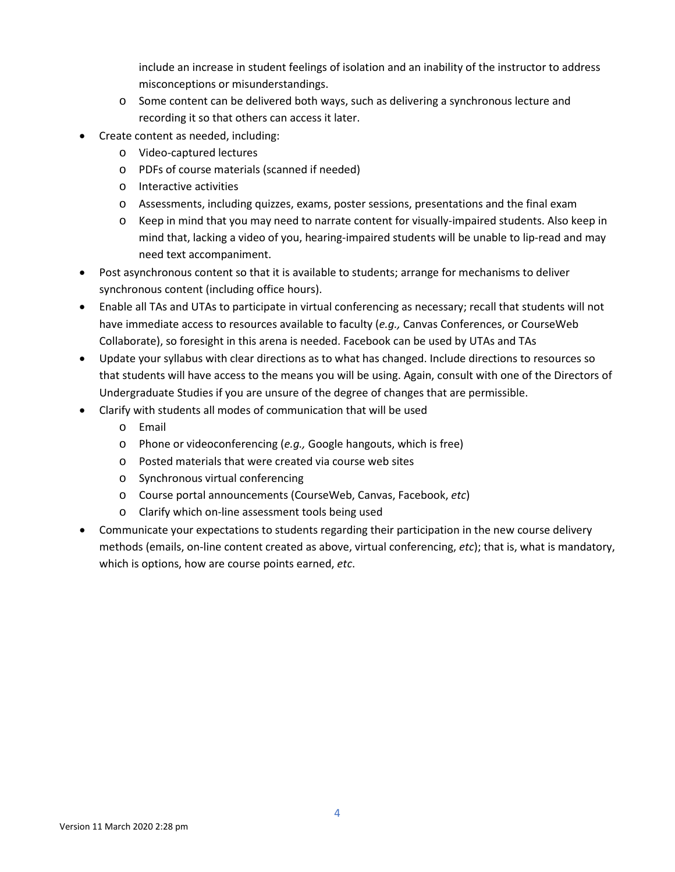include an increase in student feelings of isolation and an inability of the instructor to address misconceptions or misunderstandings.

- o Some content can be delivered both ways, such as delivering a synchronous lecture and recording it so that others can access it later.
- Create content as needed, including:
	- o Video-captured lectures
	- o PDFs of course materials (scanned if needed)
	- o Interactive activities
	- o Assessments, including quizzes, exams, poster sessions, presentations and the final exam
	- o Keep in mind that you may need to narrate content for visually-impaired students. Also keep in mind that, lacking a video of you, hearing-impaired students will be unable to lip-read and may need text accompaniment.
- Post asynchronous content so that it is available to students; arrange for mechanisms to deliver synchronous content (including office hours).
- Enable all TAs and UTAs to participate in virtual conferencing as necessary; recall that students will not have immediate access to resources available to faculty (*e.g.,* Canvas Conferences, or CourseWeb Collaborate), so foresight in this arena is needed. Facebook can be used by UTAs and TAs
- Update your syllabus with clear directions as to what has changed. Include directions to resources so that students will have access to the means you will be using. Again, consult with one of the Directors of Undergraduate Studies if you are unsure of the degree of changes that are permissible.
- Clarify with students all modes of communication that will be used
	- o Email
	- o Phone or videoconferencing (*e.g.,* Google hangouts, which is free)
	- o Posted materials that were created via course web sites
	- o Synchronous virtual conferencing
	- o Course portal announcements (CourseWeb, Canvas, Facebook, *etc*)
	- o Clarify which on-line assessment tools being used
- Communicate your expectations to students regarding their participation in the new course delivery methods (emails, on-line content created as above, virtual conferencing, *etc*); that is, what is mandatory, which is options, how are course points earned, *etc*.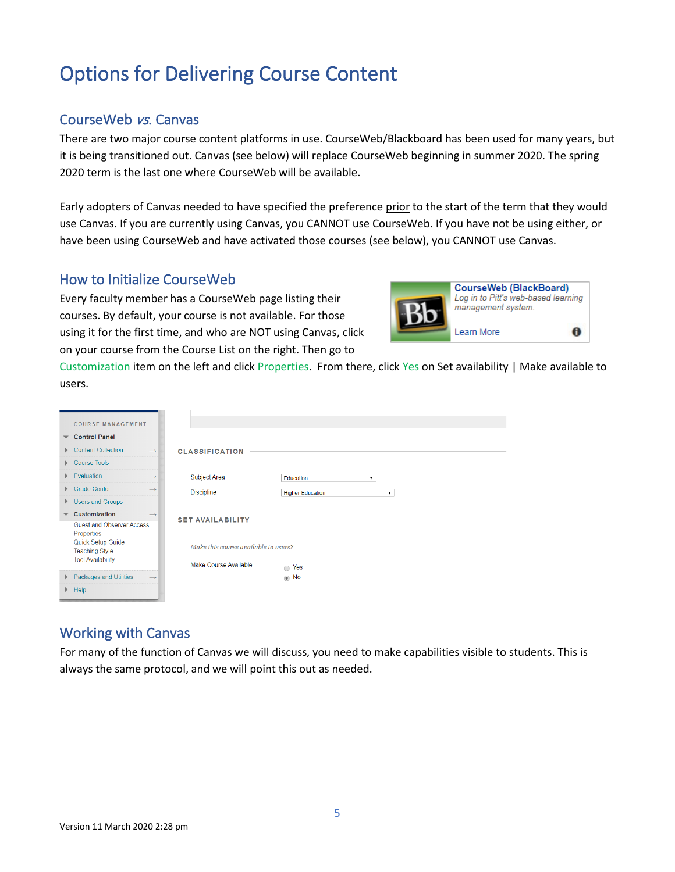# <span id="page-4-0"></span>Options for Delivering Course Content

### <span id="page-4-1"></span>CourseWeb vs. Canvas

There are two major course content platforms in use. CourseWeb/Blackboard has been used for many years, but it is being transitioned out. Canvas (see below) will replace CourseWeb beginning in summer 2020. The spring 2020 term is the last one where CourseWeb will be available.

Early adopters of Canvas needed to have specified the preference prior to the start of the term that they would use Canvas. If you are currently using Canvas, you CANNOT use CourseWeb. If you have not be using either, or have been using CourseWeb and have activated those courses (see below), you CANNOT use Canvas.

### <span id="page-4-2"></span>How to Initialize CourseWeb

Every faculty member has a CourseWeb page listing their courses. By default, your course is not available. For those using it for the first time, and who are NOT using Canvas, click on your course from the Course List on the right. Then go to



Customization item on the left and click Properties. From there, click Yes on Set availability | Make available to users.

|                          | <b>COURSE MANAGEMENT</b>                   |               |                                      |                         |   |
|--------------------------|--------------------------------------------|---------------|--------------------------------------|-------------------------|---|
| $\overline{\phantom{a}}$ | <b>Control Panel</b>                       |               |                                      |                         |   |
| Þ.                       | <b>Content Collection</b>                  | $\rightarrow$ | <b>CLASSIFICATION</b>                |                         |   |
| Þ.                       | <b>Course Tools</b>                        |               |                                      |                         |   |
| Þ.                       | Evaluation                                 | $\rightarrow$ | <b>Subject Area</b>                  | Education               | ▼ |
| Þ.                       | <b>Grade Center</b>                        | $\rightarrow$ | <b>Discipline</b>                    | <b>Higher Education</b> | ▼ |
| Þ.                       | <b>Users and Groups</b>                    |               |                                      |                         |   |
|                          | Customization                              | $\rightarrow$ | <b>SET AVAILABILITY</b>              |                         |   |
|                          | Guest and Observer Access<br>Properties    |               |                                      |                         |   |
|                          | Quick Setup Guide<br><b>Teaching Style</b> |               | Make this course available to users? |                         |   |
|                          | <b>Tool Availability</b>                   |               | Make Course Available                | $\bigcirc$ Yes          |   |
| Þ.                       | <b>Packages and Utilities</b>              | $\rightarrow$ |                                      | $\circledcirc$ No       |   |
| Þ.                       | Help                                       |               |                                      |                         |   |

### <span id="page-4-3"></span>Working with Canvas

For many of the function of Canvas we will discuss, you need to make capabilities visible to students. This is always the same protocol, and we will point this out as needed.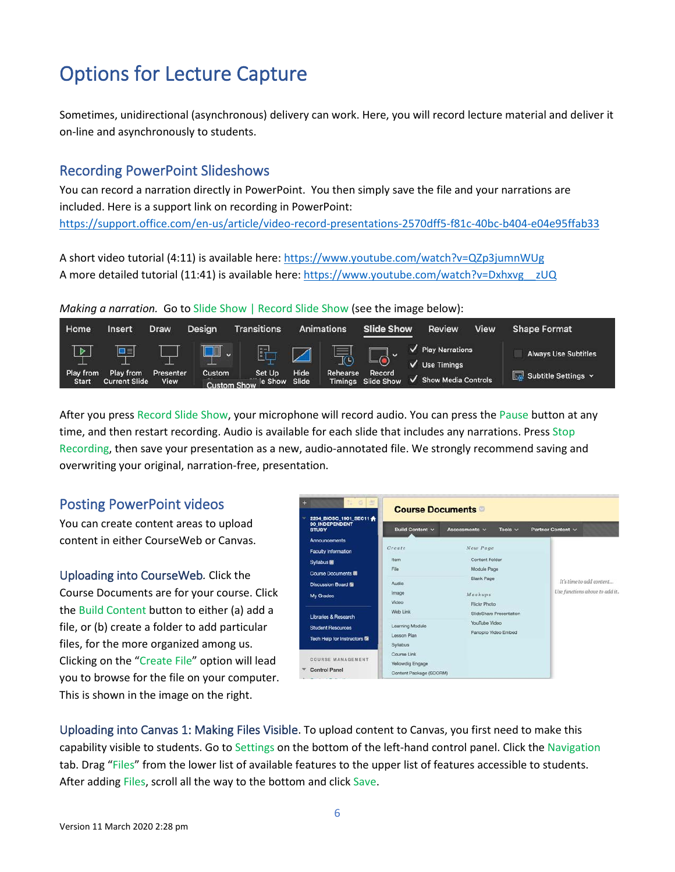# <span id="page-5-0"></span>Options for Lecture Capture

Sometimes, unidirectional (asynchronous) delivery can work. Here, you will record lecture material and deliver it on-line and asynchronously to students.

### <span id="page-5-1"></span>Recording PowerPoint Slideshows

You can record a narration directly in PowerPoint. You then simply save the file and your narrations are included. Here is a support link on recording in PowerPoint: <https://support.office.com/en-us/article/video-record-presentations-2570dff5-f81c-40bc-b404-e04e95ffab33>

A short video tutorial (4:11) is available here[: https://www.youtube.com/watch?v=QZp3jumnWUg](https://www.youtube.com/watch?v=QZp3jumnWUg) A more detailed tutorial (11:41) is available here[: https://www.youtube.com/watch?v=Dxhxvg\\_\\_zUQ](https://www.youtube.com/watch?v=Dxhxvg__zUQ)

#### *Making a narration.* Go to Slide Show | Record Slide Show (see the image below):



After you press Record Slide Show, your microphone will record audio. You can press the Pause button at any time, and then restart recording. Audio is available for each slide that includes any narrations. Press Stop Recording, then save your presentation as a new, audio-annotated file. We strongly recommend saving and overwriting your original, narration-free, presentation.

### <span id="page-5-2"></span>Posting PowerPoint videos

You can create content areas to upload content in either CourseWeb or Canvas.

<span id="page-5-3"></span>Uploading into CourseWeb*.* Click the Course Documents are for your course. Click the Build Content button to either (a) add a file, or (b) create a folder to add particular files, for the more organized among us. Clicking on the "Create File" option will lead you to browse for the file on your computer. This is shown in the image on the right.

| 14 6 击<br>m                                                            | <b>Course Documents</b> |                               |                               |
|------------------------------------------------------------------------|-------------------------|-------------------------------|-------------------------------|
| 2204_BIOSC_1901_SEC11<br>$\bigoplus$<br>90 INDEPENDENT<br><b>STUDY</b> | <b>Build Content v</b>  | Tools $\vee$<br>Assessments v | Partner Content v             |
| Announcements                                                          |                         |                               |                               |
| <b>Faculty Information</b>                                             | Create                  | New Page                      |                               |
| Syllabus <sup>®</sup>                                                  | Item                    | Content Folder                |                               |
| Course Documents                                                       | File                    | Module Page                   |                               |
| Discussion Board 酯                                                     | Audio                   | <b>Blank Page</b>             | It's time to add content      |
| My Grades                                                              | Image                   | Mashups                       | Use functions above to add it |
|                                                                        | Video                   | <b>Flickr Photo</b>           |                               |
| Libraries & Research                                                   | Web Link                | SlideShare Presentation       |                               |
| <b>Student Resources</b>                                               | Learning Module         | YouTube Video                 |                               |
|                                                                        | Lesson Plan             | Panopto Video Embed           |                               |
| Tech Help for Instructors <b>&amp;</b>                                 | Syllabus                |                               |                               |
| COURSE MANAGEMENT                                                      | Course Link             |                               |                               |
|                                                                        | Yellowdig Engage        |                               |                               |
| <b>Control Panel</b><br><b>Construction of the Construction</b>        | Content Package (SCORM) |                               |                               |

<span id="page-5-4"></span>Uploading into Canvas 1: Making Files Visible. To upload content to Canvas, you first need to make this capability visible to students. Go to Settings on the bottom of the left-hand control panel. Click the Navigation tab. Drag "Files" from the lower list of available features to the upper list of features accessible to students. After adding Files, scroll all the way to the bottom and click Save.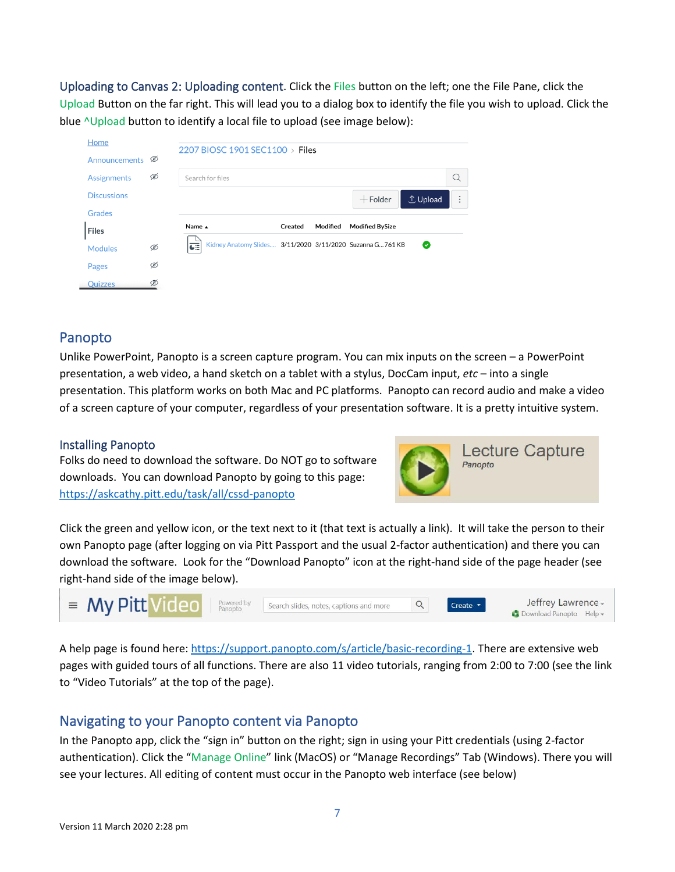<span id="page-6-0"></span>Uploading to Canvas 2: Uploading content. Click the Files button on the left; one the File Pane, click the Upload Button on the far right. This will lead you to a dialog box to identify the file you wish to upload. Click the blue <u>Nupload</u> button to identify a local file to upload (see image below):

| Home                       |   |                                 |         |          |                                                            |                               |          |
|----------------------------|---|---------------------------------|---------|----------|------------------------------------------------------------|-------------------------------|----------|
| Announcements <sup>®</sup> |   | 2207 BIOSC 1901 SEC1100 > Files |         |          |                                                            |                               |          |
| <b>Assignments</b>         | Ø | Search for files                |         |          |                                                            |                               |          |
| <b>Discussions</b>         |   |                                 |         |          | $+$ Folder                                                 | <b><i><u>J</u></i></b> Upload | $\vdots$ |
| Grades                     |   |                                 |         |          |                                                            |                               |          |
| <b>Files</b>               |   | Name A                          | Created | Modified | <b>Modified BySize</b>                                     |                               |          |
| <b>Modules</b>             | Ø | 려                               |         |          | Kidney Anatomy Slides 3/11/2020 3/11/2020 Suzanna G 761 KB | Ø                             |          |
| Pages                      | Ø |                                 |         |          |                                                            |                               |          |
| Q <sub>U</sub> 1770c       | Ø |                                 |         |          |                                                            |                               |          |

### <span id="page-6-1"></span>Panopto

Unlike PowerPoint, Panopto is a screen capture program. You can mix inputs on the screen – a PowerPoint presentation, a web video, a hand sketch on a tablet with a stylus, DocCam input, *etc* – into a single presentation. This platform works on both Mac and PC platforms. Panopto can record audio and make a video of a screen capture of your computer, regardless of your presentation software. It is a pretty intuitive system.

#### <span id="page-6-2"></span>Installing Panopto

Folks do need to download the software. Do NOT go to software downloads. You can download Panopto by going to this page: <https://askcathy.pitt.edu/task/all/cssd-panopto>



Click the green and yellow icon, or the text next to it (that text is actually a link). It will take the person to their own Panopto page (after logging on via Pitt Passport and the usual 2-factor authentication) and there you can download the software. Look for the "Download Panopto" icon at the right-hand side of the page header (see right-hand side of the image below).



A help page is found here: [https://support.panopto.com/s/article/basic-recording-1.](https://nam05.safelinks.protection.outlook.com/?url=https%3A%2F%2Fsupport.panopto.com%2Fs%2Farticle%2Fbasic-recording-1&data=02%7C01%7Cjlawrenc%40pitt.edu%7Ca5e42d3a81ed41dc511c08d7c5065ad6%7C9ef9f489e0a04eeb87cc3a526112fd0d%7C1%7C0%7C637194503390259912&sdata=nl4wbRnvYhwiFdvCB%2BYM%2BOKFBHe8kT%2BMTmzw525m3iI%3D&reserved=0) There are extensive web pages with guided tours of all functions. There are also 11 video tutorials, ranging from 2:00 to 7:00 (see the link to "Video Tutorials" at the top of the page).

### <span id="page-6-3"></span>Navigating to your Panopto content via Panopto

In the Panopto app, click the "sign in" button on the right; sign in using your Pitt credentials (using 2-factor authentication). Click the "Manage Online" link (MacOS) or "Manage Recordings" Tab (Windows). There you will see your lectures. All editing of content must occur in the Panopto web interface (see below)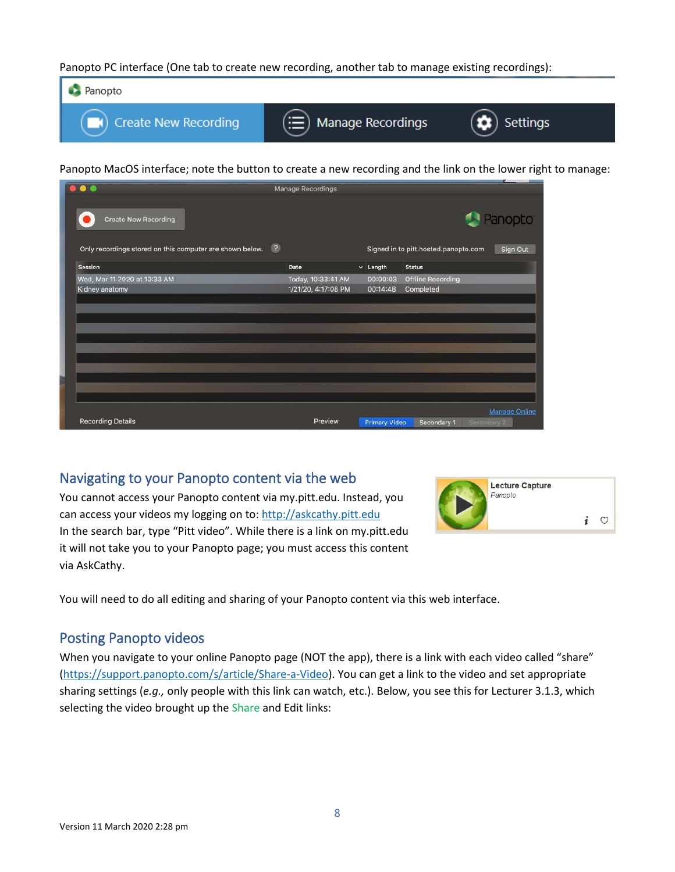Panopto PC interface (One tab to create new recording, another tab to manage existing recordings):



Panopto MacOS interface; note the button to create a new recording and the link on the lower right to manage:

|                                                          |                | <b>Manage Recordings</b> |                      |                                      |                      |
|----------------------------------------------------------|----------------|--------------------------|----------------------|--------------------------------------|----------------------|
| <b>Create New Recording</b>                              |                |                          |                      |                                      | Panopto              |
| Only recordings stored on this computer are shown below. | $\circledcirc$ |                          |                      | Signed in to pitt.hosted.panopto.com | Sign Out             |
| Session                                                  |                | Date                     | $\sim$ Length        | <b>Status</b>                        |                      |
| Wed, Mar 11 2020 at 10:33 AM                             |                | Today, 10:33:41 AM       | 00:00:03             | <b>Offline Recording</b>             |                      |
| Kidney anatomy                                           |                | 1/21/20, 4:17:08 PM      | 00:14:48             | Completed                            |                      |
|                                                          |                |                          |                      |                                      |                      |
|                                                          |                |                          |                      |                                      |                      |
|                                                          |                |                          |                      |                                      |                      |
|                                                          |                |                          |                      |                                      |                      |
|                                                          |                |                          |                      |                                      |                      |
|                                                          |                |                          |                      |                                      |                      |
|                                                          |                |                          |                      |                                      |                      |
|                                                          |                |                          |                      |                                      | <b>Manage Online</b> |
| <b>Recording Details</b>                                 |                | Preview                  | <b>Primary Video</b> | Secondary 1<br>Secondary 2           |                      |

### <span id="page-7-0"></span>Navigating to your Panopto content via the web

You cannot access your Panopto content via my.pitt.edu. Instead, you can access your videos my logging on to: [http://askcathy.pitt.edu](http://askcathy.pitt.edu/) In the search bar, type "Pitt video". While there is a link on my.pitt.edu it will not take you to your Panopto page; you must access this content via AskCathy.



You will need to do all editing and sharing of your Panopto content via this web interface.

### <span id="page-7-1"></span>Posting Panopto videos

When you navigate to your online Panopto page (NOT the app), there is a link with each video called "share" [\(https://support.panopto.com/s/article/Share-a-Video\)](https://nam05.safelinks.protection.outlook.com/?url=https%3A%2F%2Fsupport.panopto.com%2Fs%2Farticle%2FShare-a-Video&data=02%7C01%7Cjlawrenc%40pitt.edu%7C4c3df588a8bb4bc7d01808d7c5231942%7C9ef9f489e0a04eeb87cc3a526112fd0d%7C1%7C0%7C637194626842146933&sdata=kXyjU28G0NK3qTnrgRPyBPBtmrQ77vK8a%2FgvYpmd5ww%3D&reserved=0). You can get a link to the video and set appropriate sharing settings (*e.g.,* only people with this link can watch, etc.). Below, you see this for Lecturer 3.1.3, which selecting the video brought up the Share and Edit links: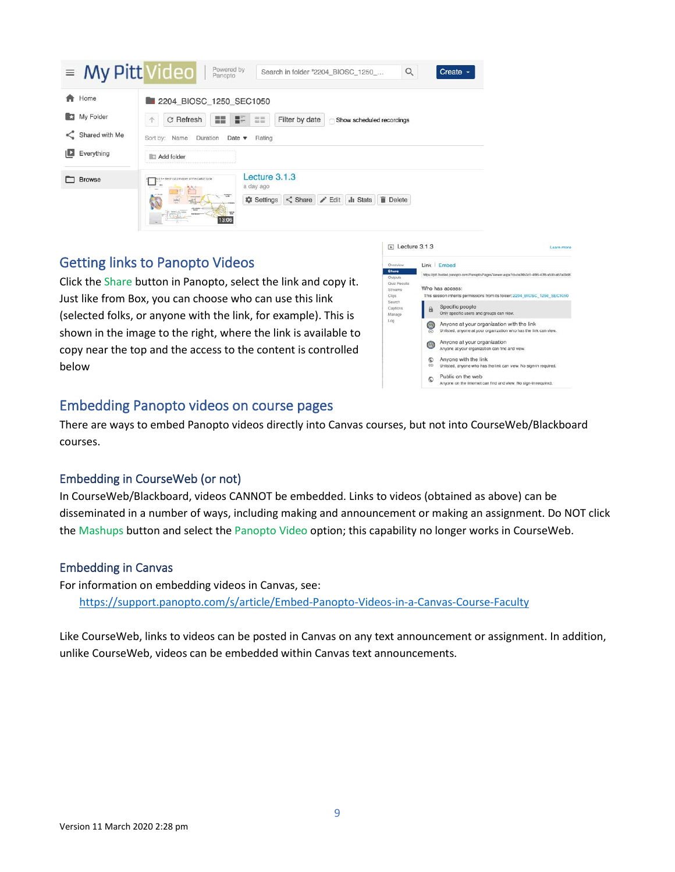| $\equiv$ My Pitt Video | Powered by<br>Panopto<br>Q<br>Create -<br>Search in folder "2204 BIOSC 1250                                                                                 |  |  |  |  |  |
|------------------------|-------------------------------------------------------------------------------------------------------------------------------------------------------------|--|--|--|--|--|
| Home<br>合              | 2204 BIOSC 1250 SEC1050                                                                                                                                     |  |  |  |  |  |
| My Folder              | 噩霊<br>C Refresh<br>ΞΞ<br>HE.<br>Filter by date<br>Show scheduled recordings<br>个                                                                            |  |  |  |  |  |
| Shared with Me         | Sort by: Name<br>Duration<br>Date $\blacktriangledown$<br>Rating                                                                                            |  |  |  |  |  |
| $\Box$ Everything      | <b>I</b> II: Add folder                                                                                                                                     |  |  |  |  |  |
| <b>Browse</b>          | Lecture 3.1.3<br>3 - Electrical principles of the cardiac cycle<br>a day ago<br>i al                                                                        |  |  |  |  |  |
|                        | <b><i><u>SOMA</u></i></b><br>庆<br><b>MARTIN SIGN</b><br>Settings < Share / Edit   Stats<br>$\blacksquare$ Delete<br>$\frac{1}{2}$<br><b>URACON</b><br>13:06 |  |  |  |  |  |

### <span id="page-8-0"></span>Getting links to Panopto Videos

Click the Share button in Panopto, select the link and copy it. Just like from Box, you can choose who can use this link (selected folks, or anyone with the link, for example). This is shown in the image to the right, where the link is available to copy near the top and the access to the content is controlled below



### <span id="page-8-1"></span>Embedding Panopto videos on course pages

There are ways to embed Panopto videos directly into Canvas courses, but not into CourseWeb/Blackboard courses.

#### <span id="page-8-2"></span>Embedding in CourseWeb (or not)

In CourseWeb/Blackboard, videos CANNOT be embedded. Links to videos (obtained as above) can be disseminated in a number of ways, including making and announcement or making an assignment. Do NOT click the Mashups button and select the Panopto Video option; this capability no longer works in CourseWeb.

#### <span id="page-8-3"></span>Embedding in Canvas

For information on embedding videos in Canvas, see: <https://support.panopto.com/s/article/Embed-Panopto-Videos-in-a-Canvas-Course-Faculty>

Like CourseWeb, links to videos can be posted in Canvas on any text announcement or assignment. In addition, unlike CourseWeb, videos can be embedded within Canvas text announcements.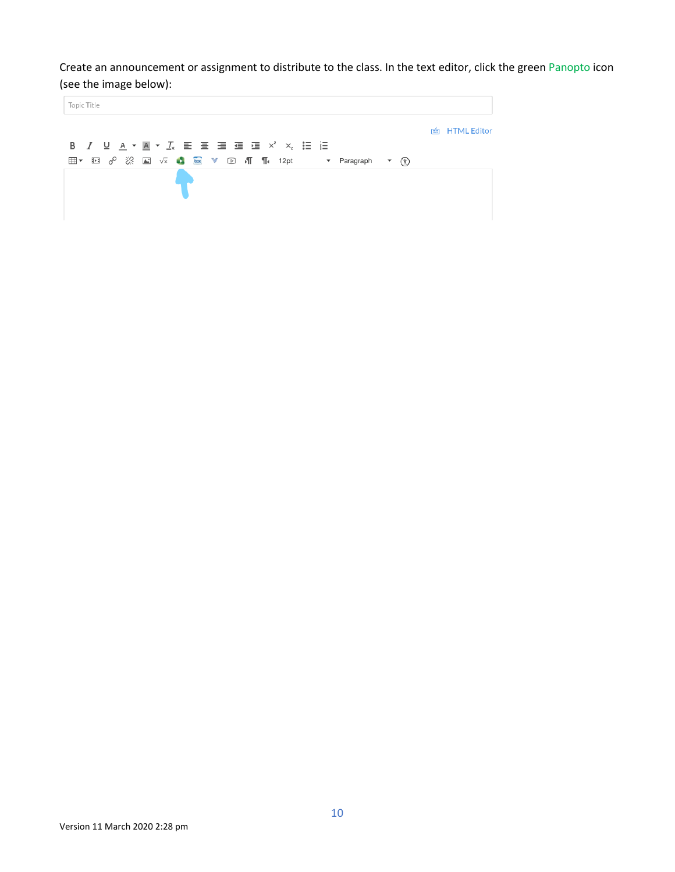Create an announcement or assignment to distribute to the class. In the text editor, click the green Panopto icon (see the image below):

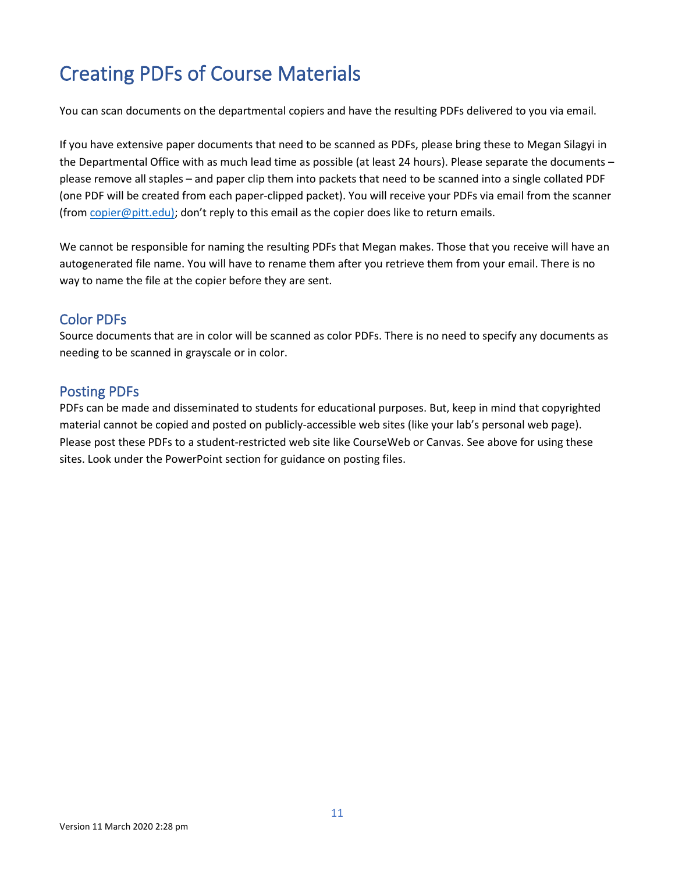# <span id="page-10-0"></span>Creating PDFs of Course Materials

You can scan documents on the departmental copiers and have the resulting PDFs delivered to you via email.

If you have extensive paper documents that need to be scanned as PDFs, please bring these to Megan Silagyi in the Departmental Office with as much lead time as possible (at least 24 hours). Please separate the documents – please remove all staples – and paper clip them into packets that need to be scanned into a single collated PDF (one PDF will be created from each paper-clipped packet). You will receive your PDFs via email from the scanner (fro[m copier@pitt.edu\);](mailto:copier@pitt.edu)) don't reply to this email as the copier does like to return emails.

We cannot be responsible for naming the resulting PDFs that Megan makes. Those that you receive will have an autogenerated file name. You will have to rename them after you retrieve them from your email. There is no way to name the file at the copier before they are sent.

### <span id="page-10-1"></span>Color PDFs

Source documents that are in color will be scanned as color PDFs. There is no need to specify any documents as needing to be scanned in grayscale or in color.

### <span id="page-10-2"></span>Posting PDFs

PDFs can be made and disseminated to students for educational purposes. But, keep in mind that copyrighted material cannot be copied and posted on publicly-accessible web sites (like your lab's personal web page). Please post these PDFs to a student-restricted web site like CourseWeb or Canvas. See above for using these sites. Look under the PowerPoint section for guidance on posting files.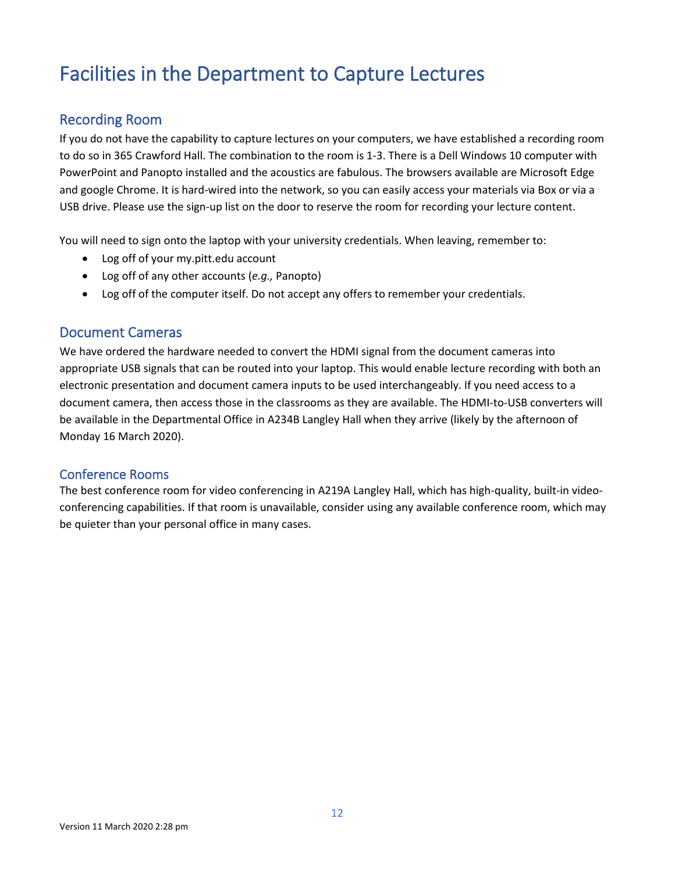# <span id="page-11-0"></span>Facilities in the Department to Capture Lectures

### <span id="page-11-1"></span>Recording Room

If you do not have the capability to capture lectures on your computers, we have established a recording room to do so in 365 Crawford Hall. The combination to the room is 1-3. There is a Dell Windows 10 computer with PowerPoint and Panopto installed and the acoustics are fabulous. The browsers available are Microsoft Edge and google Chrome. It is hard-wired into the network, so you can easily access your materials via Box or via a USB drive. Please use the sign-up list on the door to reserve the room for recording your lecture content.

You will need to sign onto the laptop with your university credentials. When leaving, remember to:

- Log off of your my.pitt.edu account
- Log off of any other accounts (*e.g.,* Panopto)
- Log off of the computer itself. Do not accept any offers to remember your credentials.

### <span id="page-11-2"></span>Document Cameras

We have ordered the hardware needed to convert the HDMI signal from the document cameras into appropriate USB signals that can be routed into your laptop. This would enable lecture recording with both an electronic presentation and document camera inputs to be used interchangeably. If you need access to a document camera, then access those in the classrooms as they are available. The HDMI-to-USB converters will be available in the Departmental Office in A234B Langley Hall when they arrive (likely by the afternoon of Monday 16 March 2020).

#### <span id="page-11-3"></span>Conference Rooms

The best conference room for video conferencing in A219A Langley Hall, which has high-quality, built-in videoconferencing capabilities. If that room is unavailable, consider using any available conference room, which may be quieter than your personal office in many cases.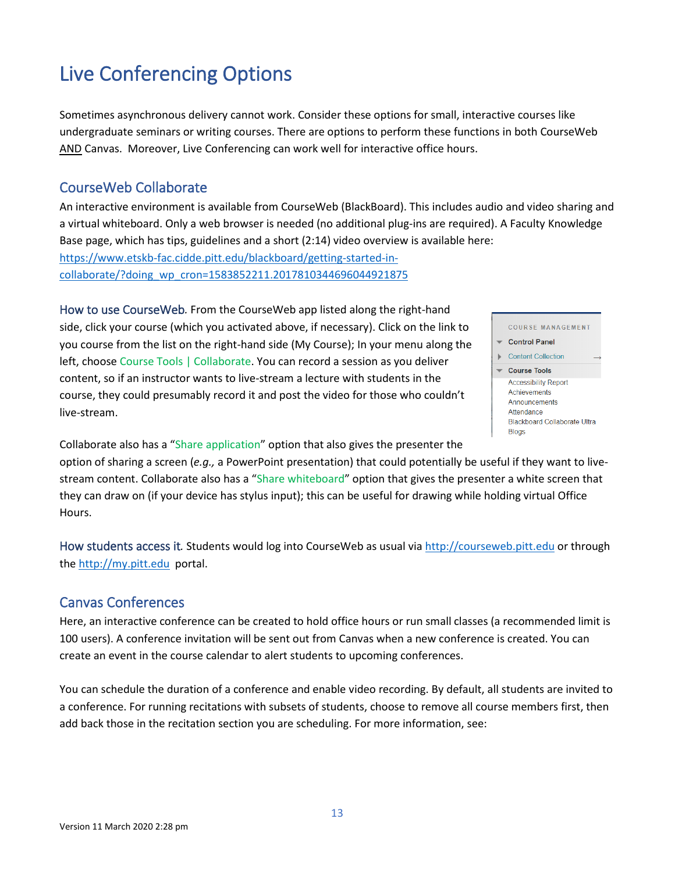# <span id="page-12-0"></span>Live Conferencing Options

Sometimes asynchronous delivery cannot work. Consider these options for small, interactive courses like undergraduate seminars or writing courses. There are options to perform these functions in both CourseWeb AND Canvas. Moreover, Live Conferencing can work well for interactive office hours.

### <span id="page-12-1"></span>CourseWeb Collaborate

An interactive environment is available from CourseWeb (BlackBoard). This includes audio and video sharing and a virtual whiteboard. Only a web browser is needed (no additional plug-ins are required). A Faculty Knowledge Base page, which has tips, guidelines and a short (2:14) video overview is available here: [https://www.etskb-fac.cidde.pitt.edu/blackboard/getting-started-in](https://www.etskb-fac.cidde.pitt.edu/blackboard/getting-started-in-collaborate/?doing_wp_cron=1583852211.2017810344696044921875)[collaborate/?doing\\_wp\\_cron=1583852211.2017810344696044921875](https://www.etskb-fac.cidde.pitt.edu/blackboard/getting-started-in-collaborate/?doing_wp_cron=1583852211.2017810344696044921875)

<span id="page-12-2"></span>How to use CourseWeb*.* From the CourseWeb app listed along the right-hand side, click your course (which you activated above, if necessary). Click on the link to you course from the list on the right-hand side (My Course); In your menu along the left, choose Course Tools | Collaborate. You can record a session as you deliver content, so if an instructor wants to live-stream a lecture with students in the course, they could presumably record it and post the video for those who couldn't live-stream.



Collaborate also has a "Share application" option that also gives the presenter the option of sharing a screen (*e.g.,* a PowerPoint presentation) that could potentially be useful if they want to livestream content. Collaborate also has a "Share whiteboard" option that gives the presenter a white screen that they can draw on (if your device has stylus input); this can be useful for drawing while holding virtual Office Hours.

<span id="page-12-3"></span>How students access it*.* Students would log into CourseWeb as usual vi[a http://courseweb.pitt.edu](http://courseweb.pitt.edu/) or through the [http://my.pitt.edu](http://my.pitt.edu/) portal.

### <span id="page-12-4"></span>Canvas Conferences

Here, an interactive conference can be created to hold office hours or run small classes (a recommended limit is 100 users). A conference invitation will be sent out from Canvas when a new conference is created. You can create an event in the course calendar to alert students to upcoming conferences.

You can schedule the duration of a conference and enable video recording. By default, all students are invited to a conference. For running recitations with subsets of students, choose to remove all course members first, then add back those in the recitation section you are scheduling. For more information, see: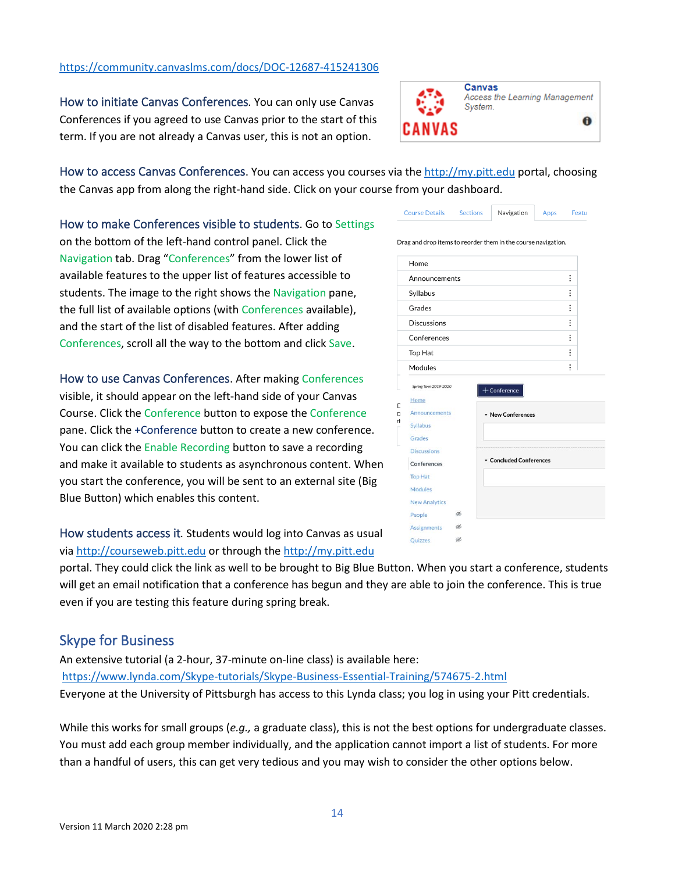Version 11 March 2020 2:28 pm

#### <https://community.canvaslms.com/docs/DOC-12687-415241306>

<span id="page-13-0"></span>How to initiate Canvas Conferences*.* You can only use Canvas Conferences if you agreed to use Canvas prior to the start of this term. If you are not already a Canvas user, this is not an option.

<span id="page-13-1"></span>How to access Canvas Conferences. You can access you courses via the [http://my.pitt.edu](http://my.pitt.edu/) portal, choosing the Canvas app from along the right-hand side. Click on your course from your dashboard.

<span id="page-13-2"></span>How to make Conferences visible to students. Go to Settings on the bottom of the left-hand control panel. Click the Navigation tab. Drag "Conferences" from the lower list of available features to the upper list of features accessible to students. The image to the right shows the Navigation pane, the full list of available options (with Conferences available), and the start of the list of disabled features. After adding Conferences, scroll all the way to the bottom and click Save.

<span id="page-13-3"></span>How to use Canvas Conferences. After making Conferences visible, it should appear on the left-hand side of your Canvas Course. Click the Conference button to expose the Conference pane. Click the +Conference button to create a new conference. You can click the Enable Recording button to save a recording and make it available to students as asynchronous content. When you start the conference, you will be sent to an external site (Big Blue Button) which enables this content.

<span id="page-13-4"></span>How students access it*.* Students would log into Canvas as usual via [http://courseweb.pitt.edu](http://courseweb.pitt.edu/) or through the [http://my.pitt.edu](http://my.pitt.edu/) 

portal. They could click the link as well to be brought to Big Blue Button. When you start a conference, students will get an email notification that a conference has begun and they are able to join the conference. This is true even if you are testing this feature during spring break.

### <span id="page-13-5"></span>Skype for Business

An extensive tutorial (a 2-hour, 37-minute on-line class) is available here: [https://www.lynda.com/Skype-tutorials/Skype-Business-Essential-Training/574675-2.html](https://nam05.safelinks.protection.outlook.com/?url=https%3A%2F%2Fwww.lynda.com%2FSkype-tutorials%2FSkype-Business-Essential-Training%2F574675-2.html&data=02%7C01%7Cjlawrenc%40pitt.edu%7Ca5e42d3a81ed41dc511c08d7c5065ad6%7C9ef9f489e0a04eeb87cc3a526112fd0d%7C1%7C0%7C637194503390269906&sdata=hhR45D6aMMAKiCFlO6EShALhPdbvTPE1m7toPBZ4a6k%3D&reserved=0) Everyone at the University of Pittsburgh has access to this Lynda class; you log in using your Pitt credentials.

While this works for small groups (*e.g.,* a graduate class), this is not the best options for undergraduate classes. You must add each group member individually, and the application cannot import a list of students. For more than a handful of users, this can get very tedious and you may wish to consider the other options below.

#### Drag and drop items to reorder them in the course navigation. Home  $\vdots$ Announcements  $\vdots$ Syllabus Grades  $\vdots$  $\vdots$ Discussions Conferences  $\vdots$  $\vdots$ Top Hat  $\colon$ Modules Spring Term 2019-2020  $+$  Conference Home Announcements • New Conferences Syllabus Grades **Discussions** • Concluded Conferences Conferences **Top Hat** Modules New Analytics People d

ø

 $\circledast$ 

Assignments Quizzes

 $\bf{0}$ 

Canvas

System.



Access the Learning Management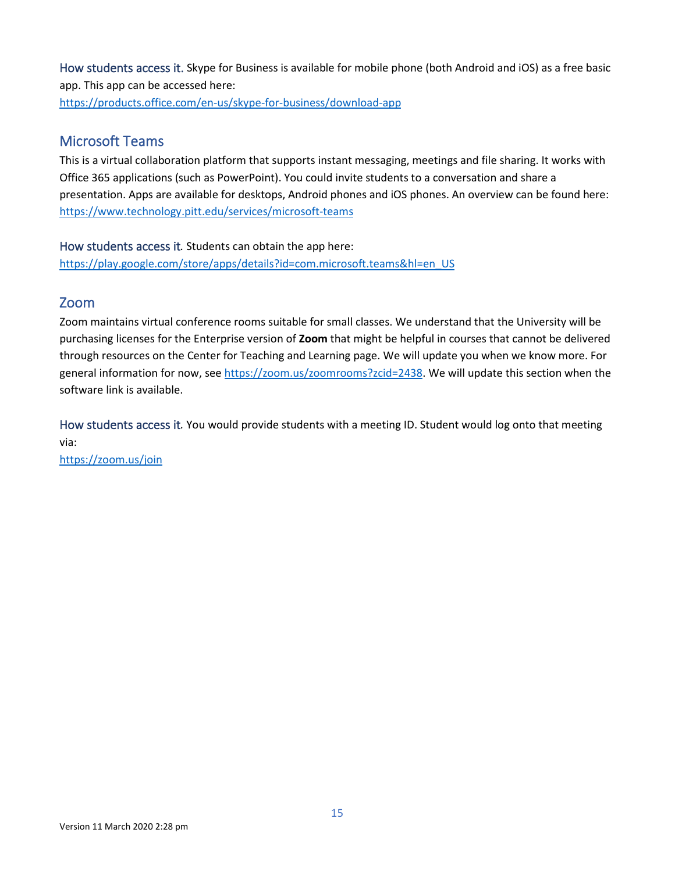<span id="page-14-0"></span>How students access it. Skype for Business is available for mobile phone (both Android and iOS) as a free basic app. This app can be accessed here:

<https://products.office.com/en-us/skype-for-business/download-app>

### <span id="page-14-1"></span>Microsoft Teams

This is a virtual collaboration platform that supports instant messaging, meetings and file sharing. It works with Office 365 applications (such as PowerPoint). You could invite students to a conversation and share a presentation. Apps are available for desktops, Android phones and iOS phones. An overview can be found here: <https://www.technology.pitt.edu/services/microsoft-teams>

<span id="page-14-2"></span>How students access it*.* Students can obtain the app here:

[https://play.google.com/store/apps/details?id=com.microsoft.teams&hl=en\\_US](https://play.google.com/store/apps/details?id=com.microsoft.teams&hl=en_US)

### <span id="page-14-3"></span>Zoom

Zoom maintains virtual conference rooms suitable for small classes. We understand that the University will be purchasing licenses for the Enterprise version of **Zoom** that might be helpful in courses that cannot be delivered through resources on the Center for Teaching and Learning page. We will update you when we know more. For general information for now, se[e https://zoom.us/zoomrooms?zcid=2438.](https://zoom.us/zoomrooms?zcid=2438) We will update this section when the software link is available.

<span id="page-14-4"></span>How students access it*.* You would provide students with a meeting ID. Student would log onto that meeting via:

<https://zoom.us/join>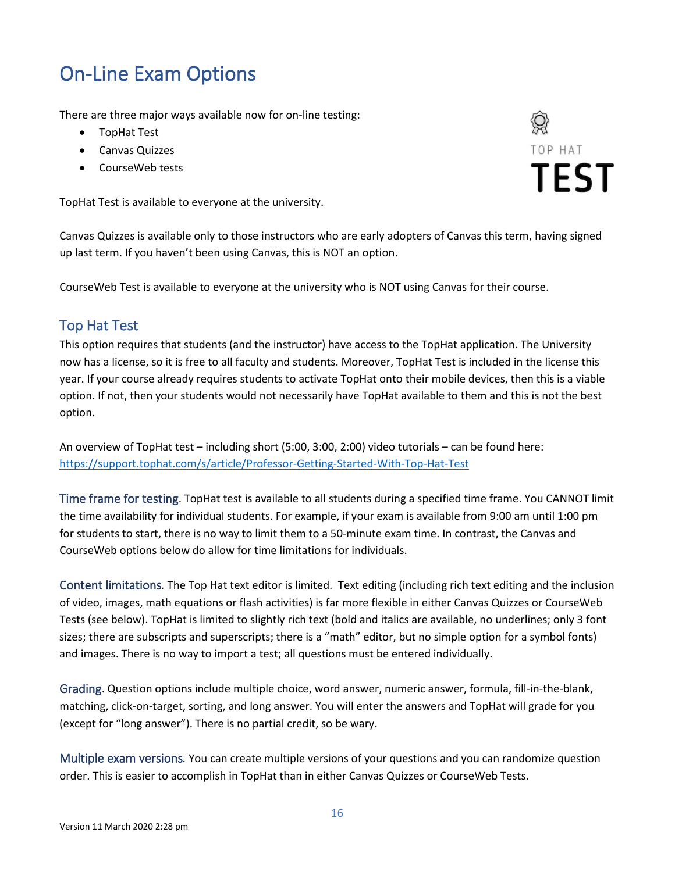# <span id="page-15-0"></span>On-Line Exam Options

There are three major ways available now for on-line testing:

- TopHat Test
- Canvas Quizzes
- CourseWeb tests

TopHat Test is available to everyone at the university.

TOP HAT **TEST** 

Canvas Quizzes is available only to those instructors who are early adopters of Canvas this term, having signed up last term. If you haven't been using Canvas, this is NOT an option.

CourseWeb Test is available to everyone at the university who is NOT using Canvas for their course.

### <span id="page-15-1"></span>Top Hat Test

This option requires that students (and the instructor) have access to the TopHat application. The University now has a license, so it is free to all faculty and students. Moreover, TopHat Test is included in the license this year. If your course already requires students to activate TopHat onto their mobile devices, then this is a viable option. If not, then your students would not necessarily have TopHat available to them and this is not the best option.

An overview of TopHat test – including short (5:00, 3:00, 2:00) video tutorials – can be found here: <https://support.tophat.com/s/article/Professor-Getting-Started-With-Top-Hat-Test>

<span id="page-15-2"></span>Time frame for testing. TopHat test is available to all students during a specified time frame. You CANNOT limit the time availability for individual students. For example, if your exam is available from 9:00 am until 1:00 pm for students to start, there is no way to limit them to a 50-minute exam time. In contrast, the Canvas and CourseWeb options below do allow for time limitations for individuals.

<span id="page-15-3"></span>Content limitations*.* The Top Hat text editor is limited. Text editing (including rich text editing and the inclusion of video, images, math equations or flash activities) is far more flexible in either Canvas Quizzes or CourseWeb Tests (see below). TopHat is limited to slightly rich text (bold and italics are available, no underlines; only 3 font sizes; there are subscripts and superscripts; there is a "math" editor, but no simple option for a symbol fonts) and images. There is no way to import a test; all questions must be entered individually.

<span id="page-15-4"></span>Grading. Question options include multiple choice, word answer, numeric answer, formula, fill-in-the-blank, matching, click-on-target, sorting, and long answer. You will enter the answers and TopHat will grade for you (except for "long answer"). There is no partial credit, so be wary.

<span id="page-15-5"></span>Multiple exam versions*.* You can create multiple versions of your questions and you can randomize question order. This is easier to accomplish in TopHat than in either Canvas Quizzes or CourseWeb Tests.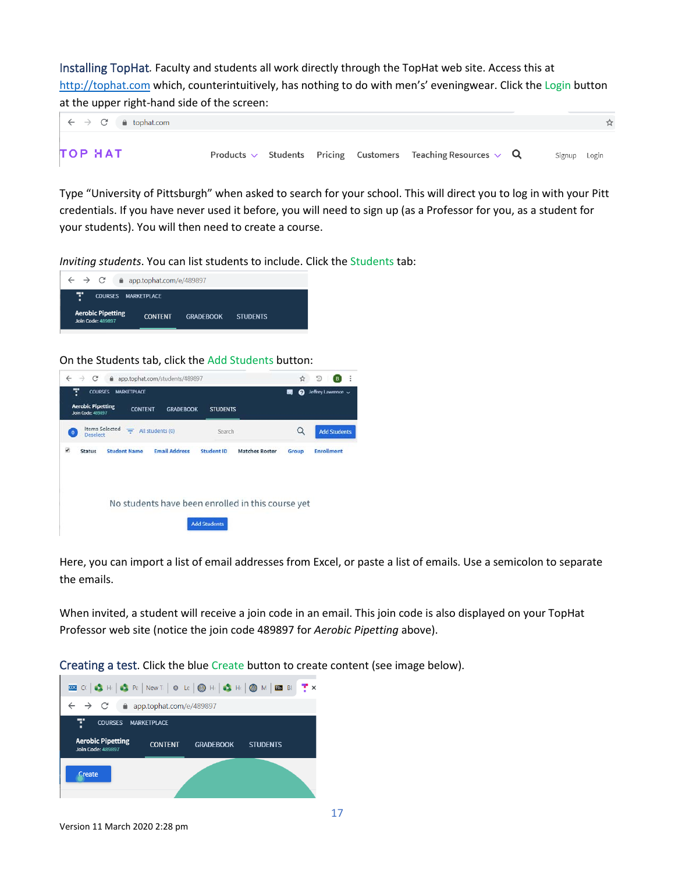<span id="page-16-0"></span>Installing TopHat*.* Faculty and students all work directly through the TopHat web site. Access this at [http://tophat.com](http://tophat.com/) which, counterintuitively, has nothing to do with men's' eveningwear. Click the Login button at the upper right-hand side of the screen:



Type "University of Pittsburgh" when asked to search for your school. This will direct you to log in with your Pitt credentials. If you have never used it before, you will need to sign up (as a Professor for you, as a student for your students). You will then need to create a course.

*Inviting students*. You can list students to include. Click the Students tab:



On the Students tab, click the Add Students button:



Here, you can import a list of email addresses from Excel, or paste a list of emails. Use a semicolon to separate the emails.

When invited, a student will receive a join code in an email. This join code is also displayed on your TopHat Professor web site (notice the join code 489897 for *Aerobic Pipetting* above).

<span id="page-16-1"></span>Creating a test. Click the blue Create button to create content (see image below).

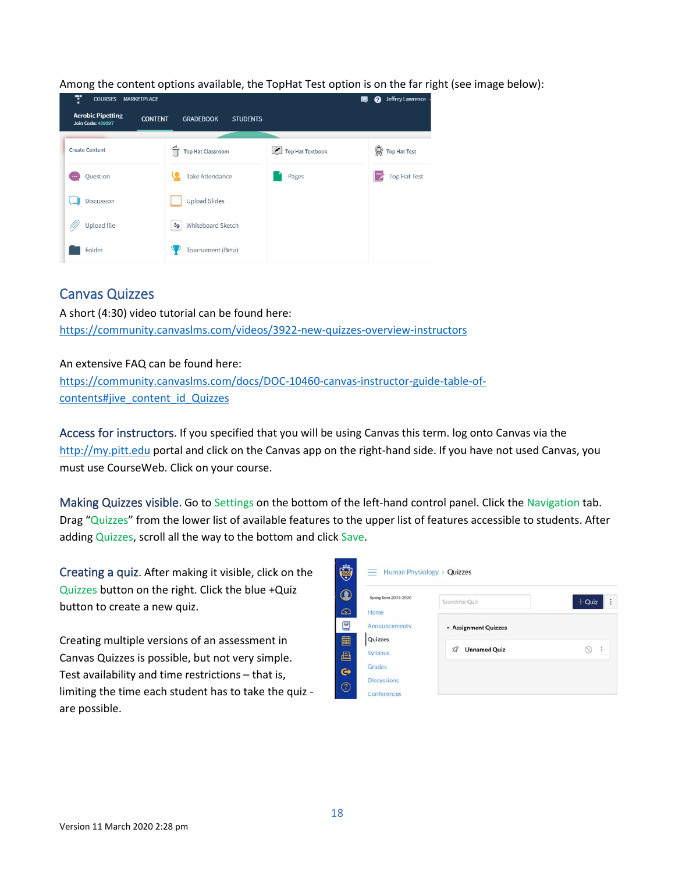| Ŧ<br><b>COURSES</b><br><b>MARKETPLACE</b>                              |                                     |                         | Jeffrey Lawrence<br>ุค<br>$\Box$    |
|------------------------------------------------------------------------|-------------------------------------|-------------------------|-------------------------------------|
| <b>Aerobic Pipetting</b><br><b>CONTENT</b><br><b>Join Code: 489897</b> | <b>GRADEBOOK</b><br><b>STUDENTS</b> |                         |                                     |
| <b>Create Content</b>                                                  | <b>Top Hat Classroom</b>            | $\chi$ Top Hat Textbook | $\mathbb{Q}$<br><b>Top Hat Test</b> |
| Question<br>                                                           | Take Attendance                     | Pages                   | <b>Top Hat Test</b>                 |
| Discussion                                                             | <b>Upload Slides</b>                |                         |                                     |
| Upload file                                                            | $v_{\sigma}$<br>Whiteboard Sketch   |                         |                                     |
| Folder                                                                 | Tournament (Beta)                   |                         |                                     |

Among the content options available, the TopHat Test option is on the far right (see image below):

### <span id="page-17-0"></span>Canvas Quizzes

A short (4:30) video tutorial can be found here: <https://community.canvaslms.com/videos/3922-new-quizzes-overview-instructors>

An extensive FAQ can be found here: [https://community.canvaslms.com/docs/DOC-10460-canvas-instructor-guide-table-of](https://community.canvaslms.com/docs/DOC-10460-canvas-instructor-guide-table-of-contents#jive_content_id_Quizzes)[contents#jive\\_content\\_id\\_Quizzes](https://community.canvaslms.com/docs/DOC-10460-canvas-instructor-guide-table-of-contents#jive_content_id_Quizzes)

<span id="page-17-1"></span>Access for instructors. If you specified that you will be using Canvas this term. log onto Canvas via the [http://my.pitt.edu](http://my.pitt.edu/) portal and click on the Canvas app on the right-hand side. If you have not used Canvas, you must use CourseWeb. Click on your course.

<span id="page-17-2"></span>Making Quizzes visible. Go to Settings on the bottom of the left-hand control panel. Click the Navigation tab. Drag "Quizzes" from the lower list of available features to the upper list of features accessible to students. After adding Quizzes, scroll all the way to the bottom and click Save.

<span id="page-17-3"></span>Creating a quiz. After making it visible, click on the Quizzes button on the right. Click the blue +Quiz button to create a new quiz.

Creating multiple versions of an assessment in Canvas Quizzes is possible, but not very simple. Test availability and time restrictions – that is, limiting the time each student has to take the quiz are possible.

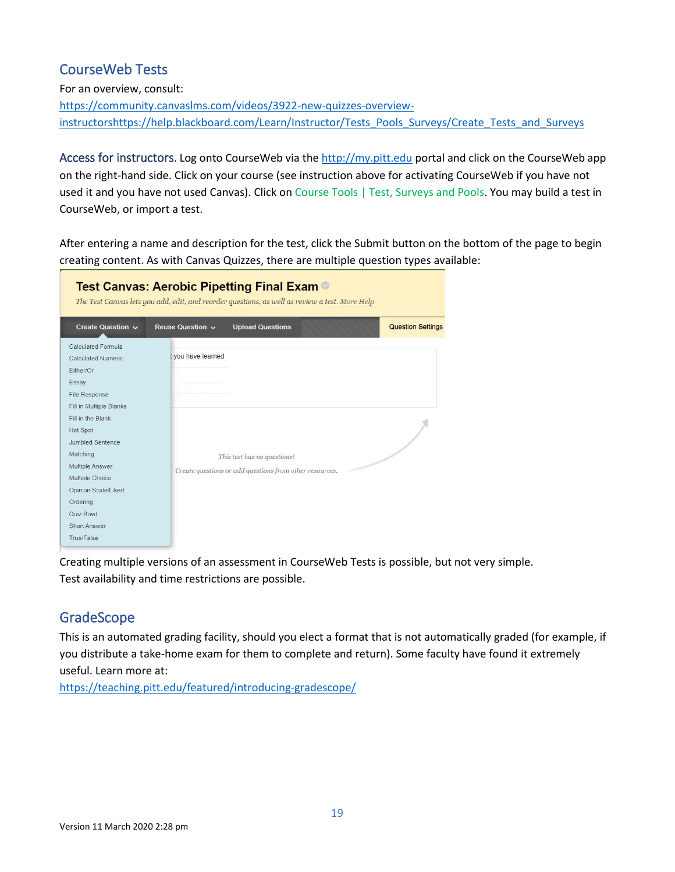### <span id="page-18-0"></span>CourseWeb Tests

For an overview, consult:

[https://community.canvaslms.com/videos/3922-new-quizzes-overview](https://community.canvaslms.com/videos/3922-new-quizzes-overview-instructors)[instructors](https://community.canvaslms.com/videos/3922-new-quizzes-overview-instructors)[https://help.blackboard.com/Learn/Instructor/Tests\\_Pools\\_Surveys/Create\\_Tests\\_and\\_Surveys](https://help.blackboard.com/Learn/Instructor/Tests_Pools_Surveys/Create_Tests_and_Surveys)

<span id="page-18-1"></span>Access for instructors. Log onto CourseWeb via the [http://my.pitt.edu](http://my.pitt.edu/) portal and click on the CourseWeb app on the right-hand side. Click on your course (see instruction above for activating CourseWeb if you have not used it and you have not used Canvas). Click on Course Tools | Test, Surveys and Pools. You may build a test in CourseWeb, or import a test.

After entering a name and description for the test, click the Submit button on the bottom of the page to begin creating content. As with Canvas Quizzes, there are multiple question types available:

|                                                                                                                                                                                    | Test Canvas: Aerobic Pipetting Final Exam ©<br>The Test Canvas lets you add, edit, and reorder questions, as well as review a test. More Help |
|------------------------------------------------------------------------------------------------------------------------------------------------------------------------------------|-----------------------------------------------------------------------------------------------------------------------------------------------|
| Create Question v                                                                                                                                                                  | <b>Question Settings</b><br>Reuse Question v<br><b>Upload Questions</b>                                                                       |
| Calculated Formula<br><b>Calculated Numeric</b><br>Either/Or<br>Essay<br>File Response<br>Fill in Multiple Blanks                                                                  | vou have learned                                                                                                                              |
| Fill in the Blank<br>Hot Spot<br><b>Jumbled Sentence</b><br>Matching<br>Multiple Answer<br>Multiple Choice<br>Opinion Scale/Likert<br>Ordering<br>Quiz Bowl<br><b>Short Answer</b> | This test has no questions!<br>Create questions or add questions from other resources.                                                        |
| True/False                                                                                                                                                                         |                                                                                                                                               |

Creating multiple versions of an assessment in CourseWeb Tests is possible, but not very simple. Test availability and time restrictions are possible.

### <span id="page-18-2"></span>GradeScope

This is an automated grading facility, should you elect a format that is not automatically graded (for example, if you distribute a take-home exam for them to complete and return). Some faculty have found it extremely useful. Learn more at:

<https://teaching.pitt.edu/featured/introducing-gradescope/>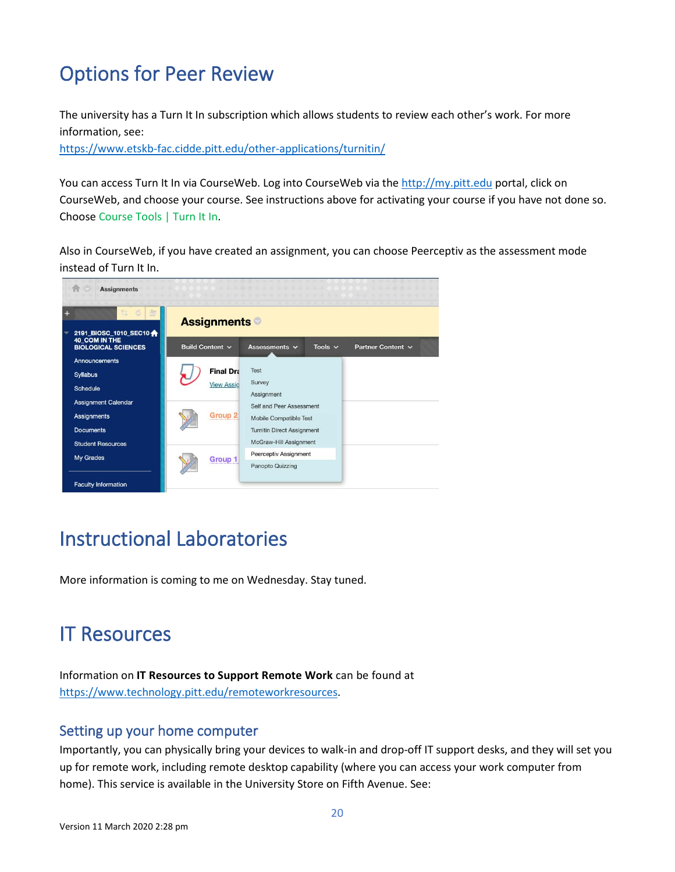# <span id="page-19-0"></span>Options for Peer Review

The university has a Turn It In subscription which allows students to review each other's work. For more information, see:

<https://www.etskb-fac.cidde.pitt.edu/other-applications/turnitin/>

You can access Turn It In via CourseWeb. Log into CourseWeb via the [http://my.pitt.edu](http://my.pitt.edu/) portal, click on CourseWeb, and choose your course. See instructions above for activating your course if you have not done so. Choose Course Tools | Turn It In.

Also in CourseWeb, if you have created an assignment, you can choose Peerceptiv as the assessment mode instead of Turn It In.



### <span id="page-19-1"></span>Instructional Laboratories

More information is coming to me on Wednesday. Stay tuned.

### <span id="page-19-2"></span>IT Resources

Information on **IT Resources to Support Remote Work** can be found at [https://www.technology.pitt.edu/remoteworkresources.](https://www.technology.pitt.edu/remoteworkresources)

### <span id="page-19-3"></span>Setting up your home computer

Importantly, you can physically bring your devices to walk-in and drop-off IT support desks, and they will set you up for remote work, including remote desktop capability (where you can access your work computer from home). This service is available in the University Store on Fifth Avenue. See: